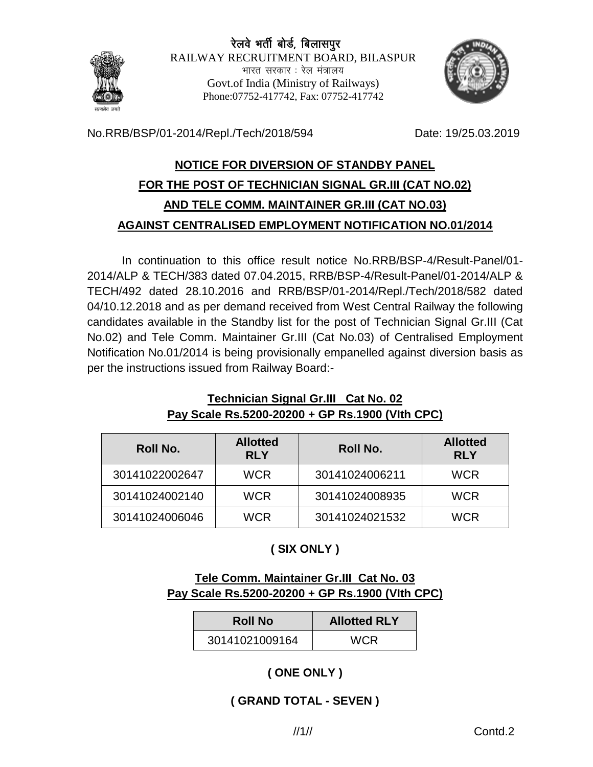

No.RRB/BSP/01-2014/Repl./Tech/2018/594 Date: 19/25.03.2019

# **NOTICE FOR DIVERSION OF STANDBY PANEL FOR THE POST OF TECHNICIAN SIGNAL GR.III (CAT NO.02) AND TELE COMM. MAINTAINER GR.III (CAT NO.03) AGAINST CENTRALISED EMPLOYMENT NOTIFICATION NO.01/2014**

In continuation to this office result notice No.RRB/BSP-4/Result-Panel/01- 2014/ALP & TECH/383 dated 07.04.2015, RRB/BSP-4/Result-Panel/01-2014/ALP & TECH/492 dated 28.10.2016 and RRB/BSP/01-2014/Repl./Tech/2018/582 dated 04/10.12.2018 and as per demand received from West Central Railway the following candidates available in the Standby list for the post of Technician Signal Gr.III (Cat No.02) and Tele Comm. Maintainer Gr.III (Cat No.03) of Centralised Employment Notification No.01/2014 is being provisionally empanelled against diversion basis as per the instructions issued from Railway Board:-

#### **Technician Signal Gr.III Cat No. 02 Pay Scale Rs.5200-20200 + GP Rs.1900 (VIth CPC)**

| <b>Roll No.</b> | <b>Allotted</b><br><b>RLY</b> | Roll No.       | <b>Allotted</b><br><b>RLY</b> |
|-----------------|-------------------------------|----------------|-------------------------------|
| 30141022002647  | <b>WCR</b>                    | 30141024006211 | <b>WCR</b>                    |
| 30141024002140  | <b>WCR</b>                    | 30141024008935 | <b>WCR</b>                    |
| 30141024006046  | <b>WCR</b>                    | 30141024021532 | <b>WCR</b>                    |

# **( SIX ONLY )**

### **Tele Comm. Maintainer Gr.III Cat No. 03 Pay Scale Rs.5200-20200 + GP Rs.1900 (VIth CPC)**

| <b>Roll No</b> | <b>Allotted RLY</b> |  |
|----------------|---------------------|--|
| 30141021009164 | <b>WCR</b>          |  |

# **( ONE ONLY )**

#### **( GRAND TOTAL - SEVEN )**